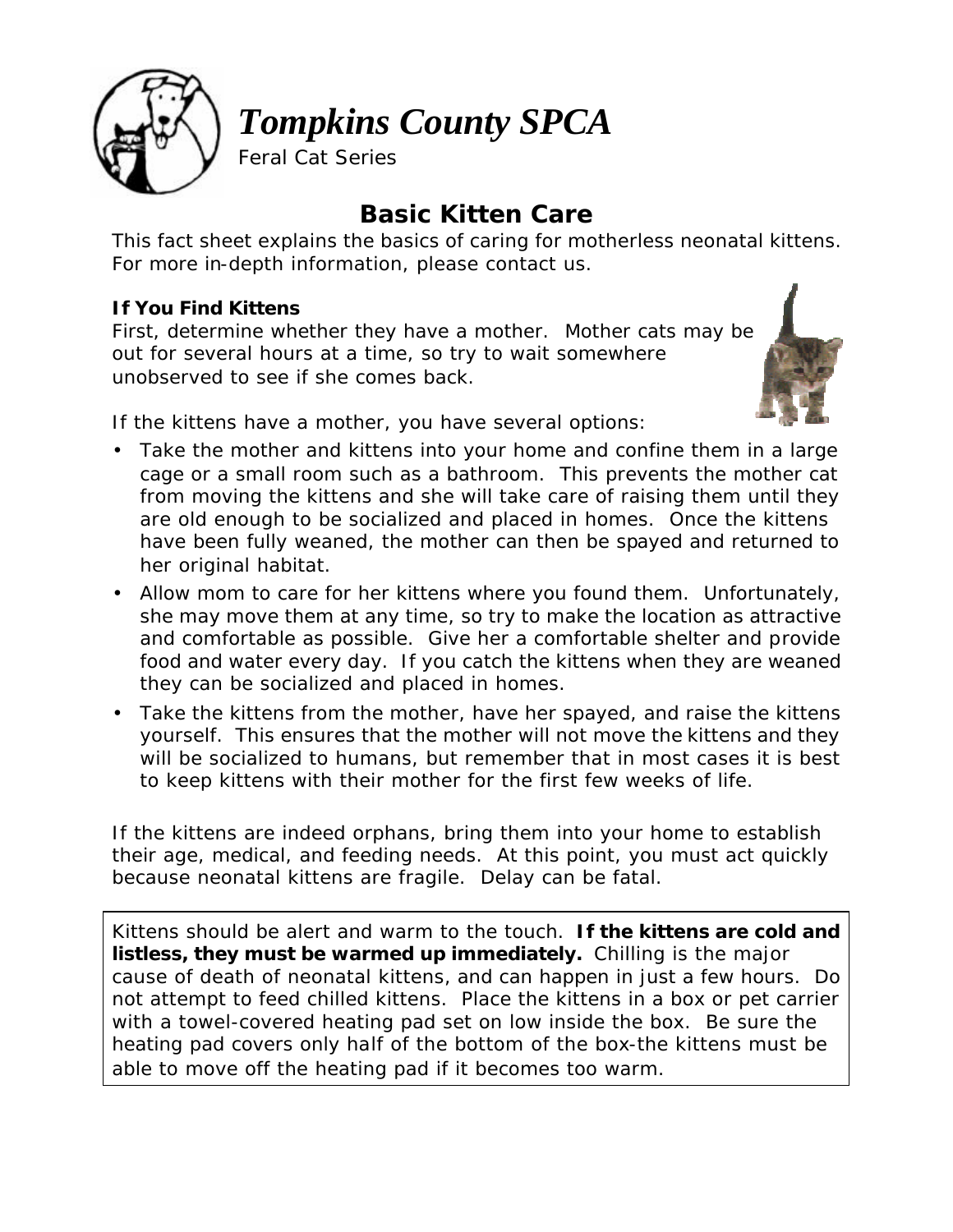

*Tompkins County SPCA*

Feral Cat Series

# **Basic Kitten Care**

*This fact sheet explains the basics of caring for motherless neonatal kittens. For more in-depth information, please contact us.* 

## **If You Find Kittens**

First, determine whether they have a mother. Mother cats may be out for several hours at a time, so try to wait somewhere unobserved to see if she comes back.



If the kittens have a mother, you have several options:

- Take the mother and kittens into your home and confine them in a large cage or a small room such as a bathroom. This prevents the mother cat from moving the kittens and she will take care of raising them until they are old enough to be socialized and placed in homes. Once the kittens have been fully weaned, the mother can then be spayed and returned to her original habitat.
- Allow mom to care for her kittens where you found them. Unfortunately, she may move them at any time, so try to make the location as attractive and comfortable as possible. Give her a comfortable shelter and provide food and water every day. If you catch the kittens when they are weaned they can be socialized and placed in homes.
- Take the kittens from the mother, have her spayed, and raise the kittens yourself. This ensures that the mother will not move the kittens and they will be socialized to humans, but remember that in most cases it is best to keep kittens with their mother for the first few weeks of life.

If the kittens are indeed orphans, bring them into your home to establish their age, medical, and feeding needs. At this point, you must act quickly because neonatal kittens are fragile. Delay can be fatal.

Kittens should be alert and warm to the touch. **If the kittens are cold and listless, they must be warmed up immediately.** Chilling is the major cause of death of neonatal kittens, and can happen in just a few hours. Do not attempt to feed chilled kittens. Place the kittens in a box or pet carrier with a towel-covered heating pad set on low inside the box. Be sure the heating pad covers only half of the bottom of the box-the kittens must be able to move off the heating pad if it becomes too warm.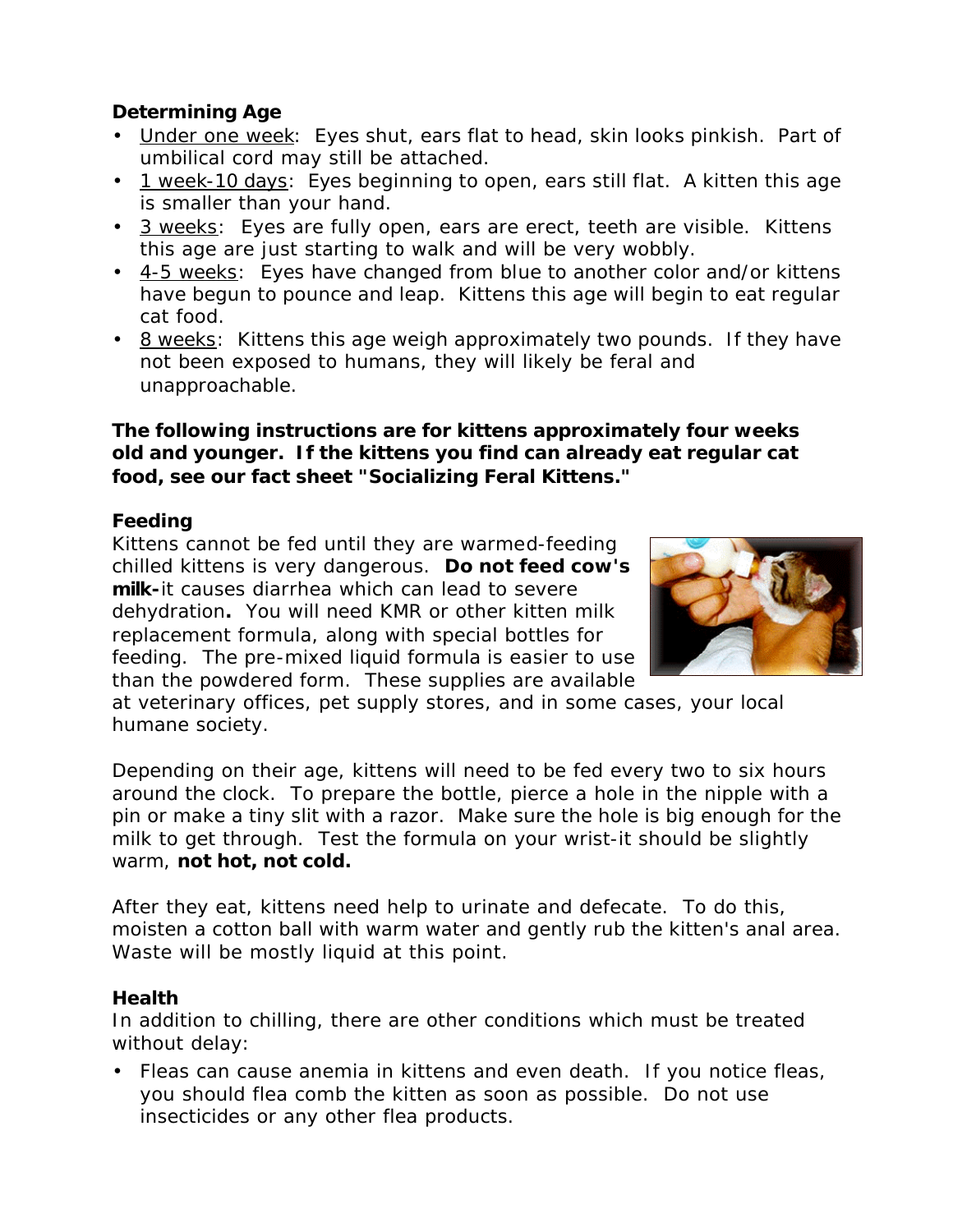### **Determining Age**

- Under one week: Eyes shut, ears flat to head, skin looks pinkish. Part of umbilical cord may still be attached.
- 1 week-10 days: Eyes beginning to open, ears still flat. A kitten this age is smaller than your hand.
- 3 weeks: Eyes are fully open, ears are erect, teeth are visible. Kittens this age are just starting to walk and will be very wobbly.
- 4-5 weeks: Eyes have changed from blue to another color and/or kittens have begun to pounce and leap. Kittens this age will begin to eat regular cat food.
- 8 weeks: Kittens this age weigh approximately two pounds. If they have not been exposed to humans, they will likely be feral and unapproachable.

#### **The following instructions are for kittens approximately four weeks old and younger. If the kittens you find can already eat regular cat food, see our fact sheet "Socializing Feral Kittens."**

#### **Feeding**

Kittens cannot be fed until they are warmed-feeding chilled kittens is very dangerous. **Do not feed cow's milk-**it causes diarrhea which can lead to severe dehydration**.** You will need KMR or other kitten milk replacement formula, along with special bottles for feeding. The pre-mixed liquid formula is easier to use than the powdered form. These supplies are available



at veterinary offices, pet supply stores, and in some cases, your local humane society.

Depending on their age, kittens will need to be fed every two to six hours around the clock. To prepare the bottle, pierce a hole in the nipple with a pin or make a tiny slit with a razor. Make sure the hole is big enough for the milk to get through. Test the formula on your wrist-it should be slightly warm, **not hot, not cold.**

After they eat, kittens need help to urinate and defecate. To do this, moisten a cotton ball with warm water and gently rub the kitten's anal area. Waste will be mostly liquid at this point.

#### **Health**

In addition to chilling, there are other conditions which must be treated without delay:

• Fleas can cause anemia in kittens and even death. If you notice fleas, you should flea comb the kitten as soon as possible. Do not use insecticides or any other flea products.